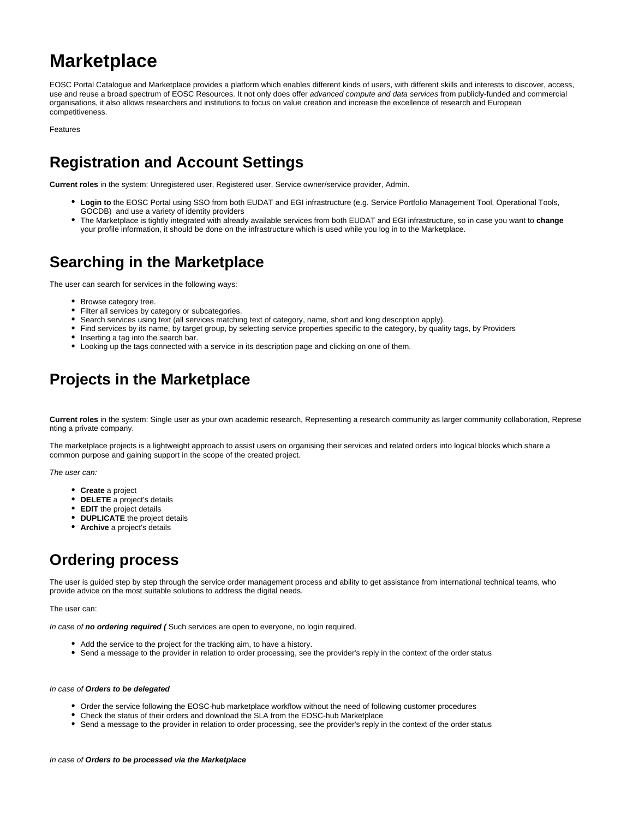# **Marketplace**

EOSC Portal Catalogue and Marketplace provides a platform which enables different kinds of users, with different skills and interests to discover, access, use and reuse a broad spectrum of EOSC Resources. It not only does offer advanced compute and data services from publicly-funded and commercial organisations, it also allows researchers and institutions to focus on value creation and increase the excellence of research and European competitiveness.

Features

## **Registration and Account Settings**

**Current roles** in the system: Unregistered user, Registered user, Service owner/service provider, Admin.

- Login to the EOSC Portal using SSO from both EUDAT and EGI infrastructure (e.g. Service Portfolio Management Tool, Operational Tools, GOCDB) and use a variety of identity providers
- The Marketplace is tightly integrated with already available services from both EUDAT and EGI infrastructure, so in case you want to **change** your profile information, it should be done on the infrastructure which is used while you log in to the Marketplace.

#### **Searching in the Marketplace**

The user can search for services in the following ways:

- Browse category tree.
- Filter all services by category or subcategories.
- Search services using text (all services matching text of category, name, short and long description apply).
- Find services by its name, by target group, by selecting service properties specific to the category, by quality tags, by Providers
- Inserting a tag into the search bar.
- Looking up the tags connected with a service in its description page and clicking on one of them.

### **Projects in the Marketplace**

**Current roles** in the system: Single user as your own academic research, Representing a research community as larger community collaboration, Represe nting a private company.

The marketplace projects is a lightweight approach to assist users on organising their services and related orders into logical blocks which share a common purpose and gaining support in the scope of the created project.

The user can:

- **Create** a project
- **DELETE** a project's details
- **EDIT** the project details
- **DUPLICATE** the project details
- **Archive** a project's details

## **Ordering process**

The user is guided step by step through the service order management process and ability to get assistance from international technical teams, who provide advice on the most suitable solutions to address the digital needs.

The user can:

In case of **no ordering required (** Such services are open to everyone, no login required.

- Add the service to the project for the tracking aim, to have a history.
- Send a message to the provider in relation to order processing, see the provider's reply in the context of the order status

#### In case of **Orders to be delegated**

- Order the service following the EOSC-hub marketplace workflow without the need of following customer procedures
- Check the status of their orders and download the SLA from the EOSC-hub Marketplace
- Send a message to the provider in relation to order processing, see the provider's reply in the context of the order status

#### In case of **Orders to be processed via the Marketplace**